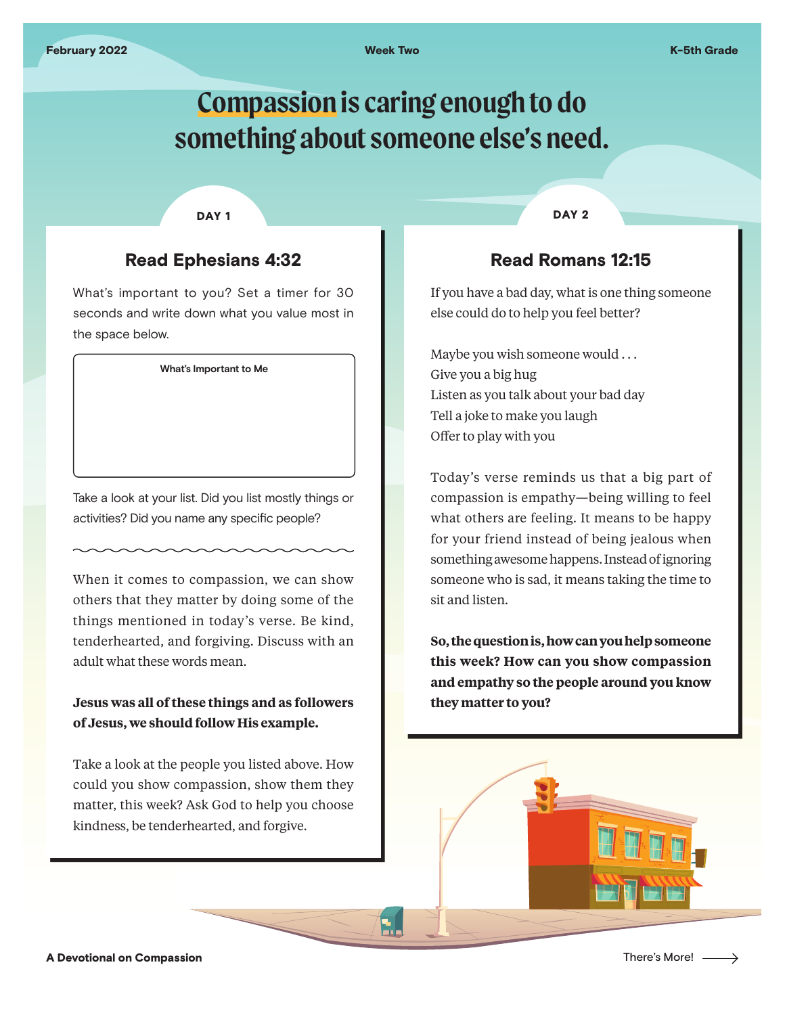# **Compassion is caring enough to do something about someone else's need.**

#### DAY<sub>1</sub>

## Read Ephesians 4:32

What's important to you? Set a timer for 30 seconds and write down what you value most in the space below.

**What's Important to Me**

Take a look at your list. Did you list mostly things or activities? Did you name any specific people?

When it comes to compassion, we can show others that they matter by doing some of the things mentioned in today's verse. Be kind, tenderhearted, and forgiving. Discuss with an adult what these words mean.

### **Jesus was all of these things and as followers of Jesus, we should follow His example.**

Take a look at the people you listed above. How could you show compassion, show them they matter, this week? Ask God to help you choose kindness, be tenderhearted, and forgive.

DAY<sub>2</sub>

## Read Romans 12:15

If you have a bad day, what is one thing someone else could do to help you feel better?

Maybe you wish someone would . . . Give you a big hug Listen as you talk about your bad day Tell a joke to make you laugh Offer to play with you

Today's verse reminds us that a big part of compassion is empathy—being willing to feel what others are feeling. It means to be happy for your friend instead of being jealous when something awesome happens. Instead of ignoring someone who is sad, it means taking the time to sit and listen.

**So, the question is, how can you help someone this week? How can you show compassion and empathy so the people around you know they matter to you?**